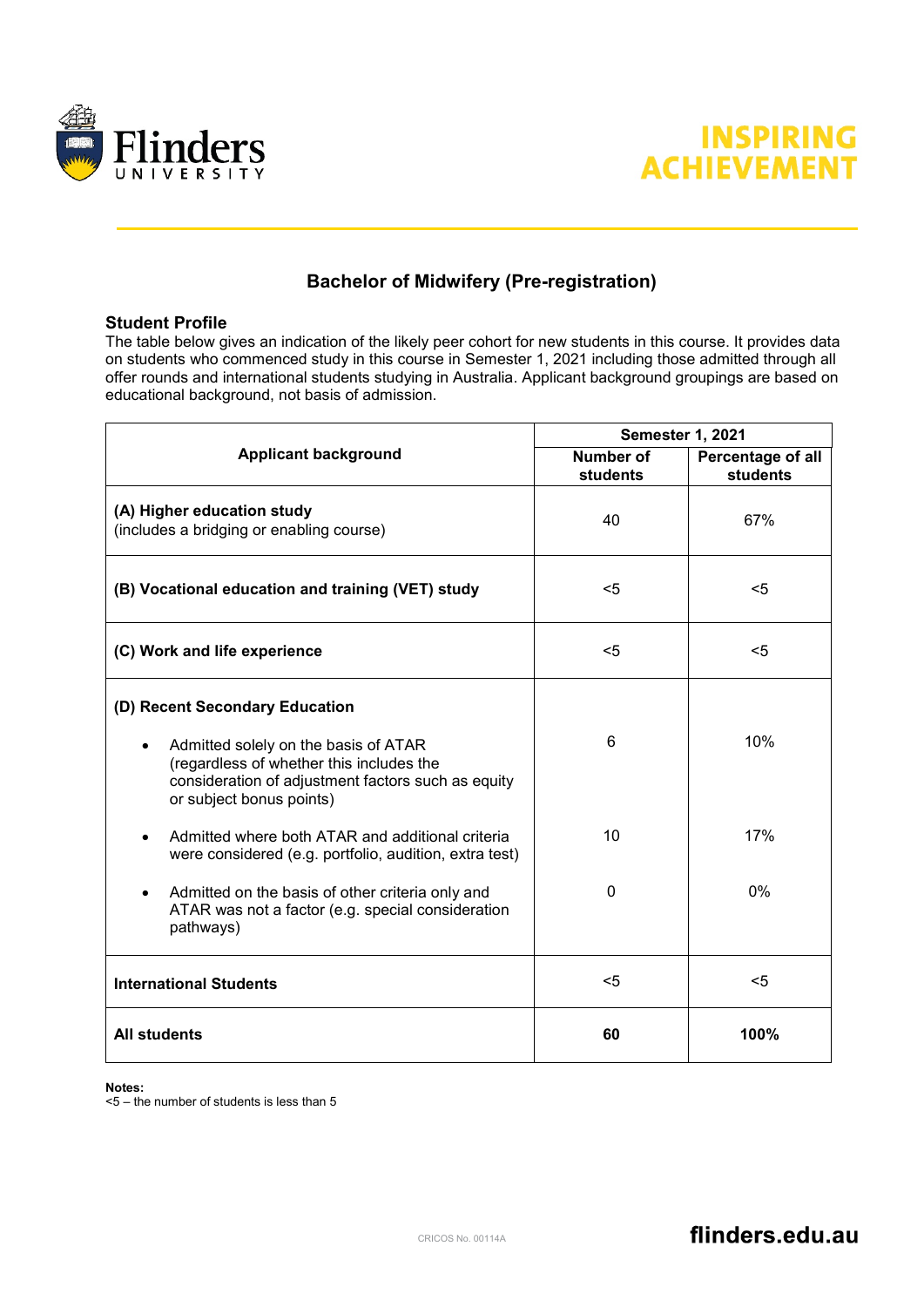



## **Bachelor of Midwifery (Pre-registration)**

## **Student Profile**

The table below gives an indication of the likely peer cohort for new students in this course. It provides data on students who commenced study in this course in Semester 1, 2021 including those admitted through all offer rounds and international students studying in Australia. Applicant background groupings are based on educational background, not basis of admission.

|                                                                                                                                                                    | <b>Semester 1, 2021</b>      |                                      |
|--------------------------------------------------------------------------------------------------------------------------------------------------------------------|------------------------------|--------------------------------------|
| <b>Applicant background</b>                                                                                                                                        | <b>Number of</b><br>students | Percentage of all<br><b>students</b> |
| (A) Higher education study<br>(includes a bridging or enabling course)                                                                                             | 40                           | 67%                                  |
| (B) Vocational education and training (VET) study                                                                                                                  | $5$                          | $<$ 5                                |
| (C) Work and life experience                                                                                                                                       | $5$                          | $<$ 5                                |
| (D) Recent Secondary Education                                                                                                                                     |                              |                                      |
| Admitted solely on the basis of ATAR<br>(regardless of whether this includes the<br>consideration of adjustment factors such as equity<br>or subject bonus points) | 6                            | 10%                                  |
| Admitted where both ATAR and additional criteria<br>were considered (e.g. portfolio, audition, extra test)                                                         | 10                           | 17%                                  |
| Admitted on the basis of other criteria only and<br>$\bullet$<br>ATAR was not a factor (e.g. special consideration<br>pathways)                                    | 0                            | $0\%$                                |
| <b>International Students</b>                                                                                                                                      | $5$                          | $5$                                  |
| <b>All students</b>                                                                                                                                                | 60                           | 100%                                 |

## **Notes:**

<5 – the number of students is less than 5